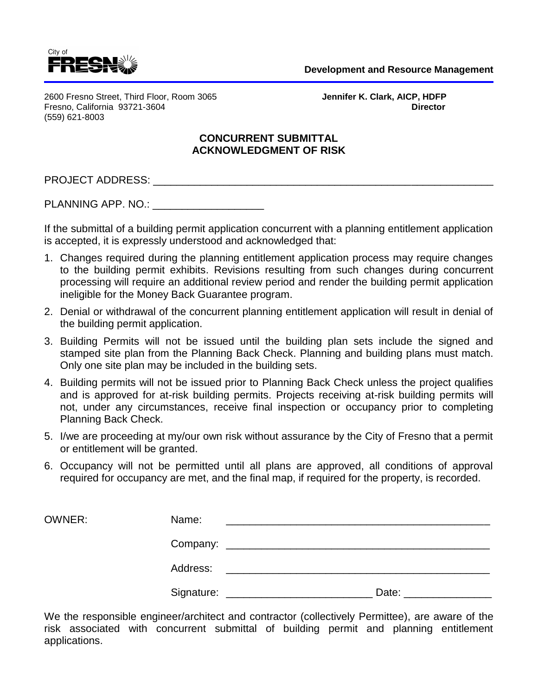

2600 Fresno Street, Third Floor, Room 3065 **Jennifer K. Clark, AICP, HDFP** Fresno, California 93721-3604 **Director** (559) 621-8003

## **CONCURRENT SUBMITTAL ACKNOWLEDGMENT OF RISK**

PROJECT ADDRESS: \_\_\_\_\_\_\_\_\_\_\_\_\_\_\_\_\_\_\_\_\_\_\_\_\_\_\_\_\_\_\_\_\_\_\_\_\_\_\_\_\_\_\_\_\_\_\_\_\_\_\_\_\_\_\_\_\_\_

PLANNING APP. NO.: **EXAMPLE APPELS** 

If the submittal of a building permit application concurrent with a planning entitlement application is accepted, it is expressly understood and acknowledged that:

- 1. Changes required during the planning entitlement application process may require changes to the building permit exhibits. Revisions resulting from such changes during concurrent processing will require an additional review period and render the building permit application ineligible for the Money Back Guarantee program.
- 2. Denial or withdrawal of the concurrent planning entitlement application will result in denial of the building permit application.
- 3. Building Permits will not be issued until the building plan sets include the signed and stamped site plan from the Planning Back Check. Planning and building plans must match. Only one site plan may be included in the building sets.
- 4. Building permits will not be issued prior to Planning Back Check unless the project qualifies and is approved for at-risk building permits. Projects receiving at-risk building permits will not, under any circumstances, receive final inspection or occupancy prior to completing Planning Back Check.
- 5. I/we are proceeding at my/our own risk without assurance by the City of Fresno that a permit or entitlement will be granted.
- 6. Occupancy will not be permitted until all plans are approved, all conditions of approval required for occupancy are met, and the final map, if required for the property, is recorded.

| OWNER: | Name:    |                                                                                                                                                                                                                                |
|--------|----------|--------------------------------------------------------------------------------------------------------------------------------------------------------------------------------------------------------------------------------|
|        |          |                                                                                                                                                                                                                                |
|        | Address: | <u> 1980 - Jan Barbara, manazarta bashkin da ya Tanzania a Tanzania a Tanzania a Tanzania a Tanzania a Tanzania a</u>                                                                                                          |
|        |          | Date: the contract of the contract of the contract of the contract of the contract of the contract of the contract of the contract of the contract of the contract of the contract of the contract of the contract of the cont |

We the responsible engineer/architect and contractor (collectively Permittee), are aware of the risk associated with concurrent submittal of building permit and planning entitlement applications.